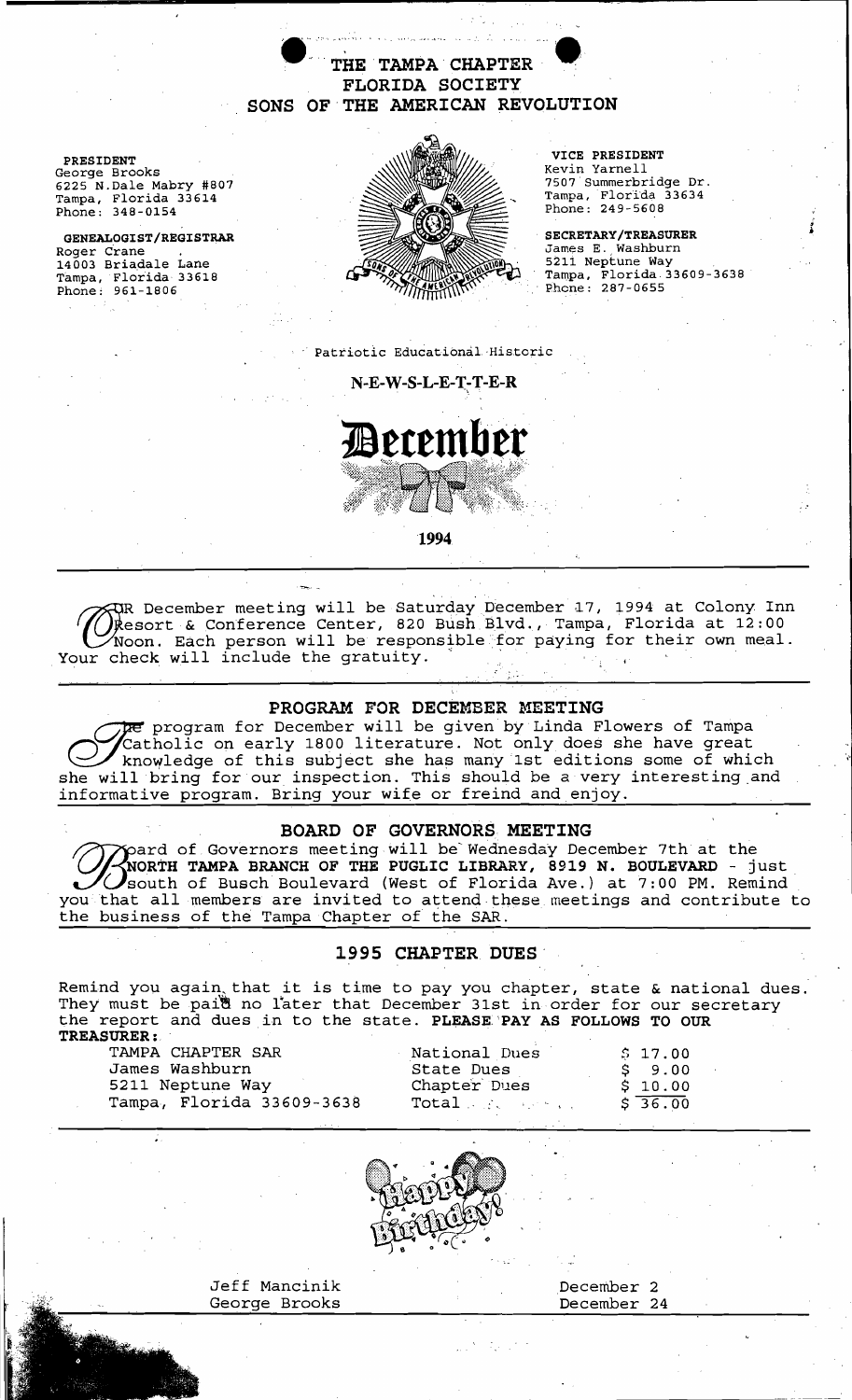$\bullet$  The TAMPA CHAPTER  $\bullet$ FLORIDA SOCIETY SONS OF'THE AMERICAN REVOLUTION



5211 Neptune Way<br>Tampa, Florida 33609-3638<br>Phone: 287-0655

. Patriotic Educational·Historic

 $N-E-W-S-L-E-T-T-E-R$ 



1994

. . ' December meeting will be Saturday December 17, 1994 at Colony Inn esort & Conference Center, 820 Bush Blvd., Tampa, Florida at 12:00 Noon. Each person will be responsible for paying for their own meal. Your check will include the gratuity.

PROGRAM FOR DECEMBER MEETING<br>program for December will be given by Linda Flowers of Tampa The program for December will be given by Linda Flowers of Tampa<br>Catholic on early 1800 literature. Not only does she have great<br>knowledge of this subject she has many 1st editions some of which Catholic on early 1800 literature. Not only does she have great knowledge of this subject she has many 1st editions some of which she will bring for our inspection. This should be a very interesting.and informative program. Bring your wife or freind and enjoy.

### BOARD OF GOVERNORS MEETING

pard of Governors meeting will be Wednesday December 7th at the NORTH TAMPA BRANCH OF THE PUGLIC LIBRARY, 8919 N. BOULEVARD - just south of Busch Boulevard (West of Florida Ave.) at 7:00 PM. Remind Works are independent of that the Wednesday December 7th at the NoRTH TAMPA BRANCH OF THE PUGLIC LIBRARY, 8919 N. BOULEVARD - just you that all members are invited to attend these meetings and contribute to the business of the Tampa Chapter of the SAR.

# 1995 CHAPTER DUES

Remind you again that it is time to pay you chapter, state & national dues. They must be paid no later that December 31st in order for our secretary the report and dues in to the state. PLEASE PAY AS FOLLOWS TO OUR TREASURER:, .



-------------- ----



Jeff Mancinik December 2 George Brooks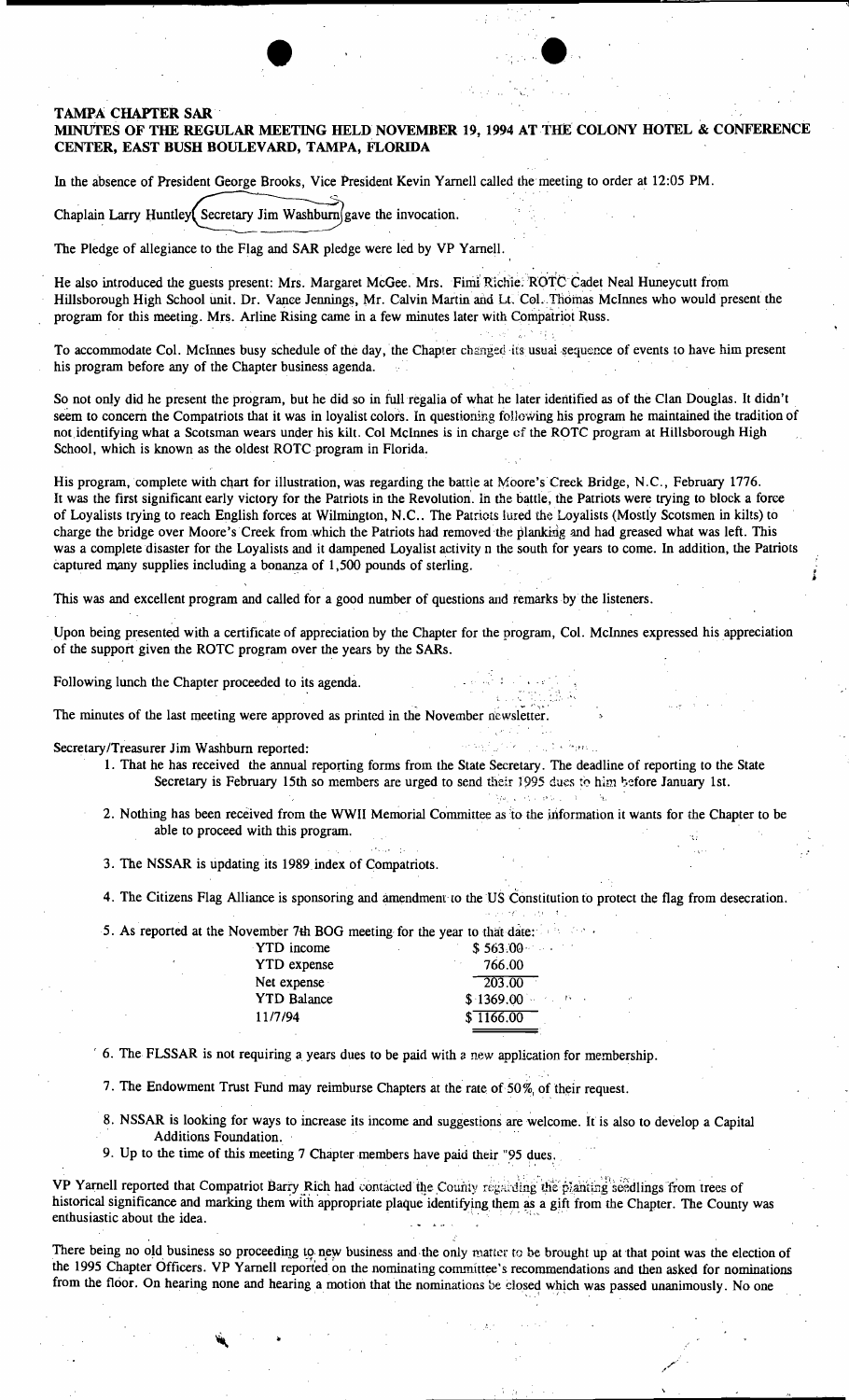### TAMPA CHAPTER SAR

## MINUTES OF THE REGULAR MEETING HELD NOVEMBER 19, 1994 AT THE COLONY HOTEL & CONFERENCE CENTER, EAST BUSH BOULEVARD, TAMPA, FLORIDA

 $\gamma_{\rm e}$   $\sim$   $^{\circ}$ 

".,

. , ;

. - ' ... ,\_.".

35.300

 $\mathcal{P}_{\mathcal{P}}$  .

In the absence of President George Brooks, Vice President Kevin Yarnell called the meeting to order at 12:05 PM.

Chaplain Larry Huntley Secretary Jim Washburn gave the invocation.

The Pledge of allegiance to the Flag and SAR pledge were led by VP Yarnell.

He also introduced the guests present: Mrs. Margaret McGee. Mrs. Fimi Richie: ROTC Cadet Neal Huneycutt from Hillsborough High School unit. Dr. Vance Jennings, Mr. Calvin Martin and Lt. Col. Thomas McInnes who would present the program for this meeting. Mrs. Arline Rising came in a few minutes later with Compatriot Russ.

To accommodate Col. McInnes busy schedule of the day, the Chapter changed its usual sequence of events to have him present his program before any of the Chapter business agenda.

So not only did he present the program, but he did so in full regalia of what he later identified as of the Clan Douglas. It didn't. seem to concern the Compatriots that it was in loyalist colors. In questioning following his program he maintained the tradition of not identifying what a Scotsman wears under his kilt. Col McInnes is in charge of the ROTC program at Hillsborough High School, which is known as the oldest ROTC program in Florida.

His program, complete with chart for illustration, was regarding the battle at Moore's Creek Bridge, N.C., February 1776. It was the first significant early victory for the Patriots in the Revolution. In the battle, the Patriots were trying to block a force of Loyalists trying to reach English forces at Wilmington, N.C.. The Patriots lured the Loyalists (Mostly Scotsmen in kilts) to charge the bridge over Moore's Creek from which the Patriots had removed the planking and had greased what was left. This was a complete disaster for the Loyalists and it dampened Loyalist activity n the south for years to come. In addition, the Patriots captured many supplies including a bonanza of 1,500 pounds of sterling.

This was and excellent program and called for a good number of questions and remarks by the listeners.

Upon being presented with a certificate of appreciation by the Chapter for the program, Col. McInnes expressed his appreciation of the support given the ROTC program over the years by the SARs.

Following lunch the Chapter proceeded to its agenda.

The minutes of the last meeting were approved as printed in the November newsletter.<br>
Secretary/Treasurer Jim Washburn reported:<br>
1. That he has received the annual reporting forms from the State Secretary. The dead

- 1. That he has received the annual reporting forms from the State Secretary. The deadline of reporting to the State Secretary is February 15th so members are urged to send their 1995 dues to him before January 1st.
- 2. Nothing has been received from the WWII Memorial Committee as to the information it wants for the Chapter to be able to proceed with this program.
- 3. The NSSAR is updating its 1989 index of Compatriots.
- 4. The Citizens Flag Alliance is sponsoring and amendment to the US Constitution to protect the flag from desecration.

5. As reported at the November 7th BOG meeting for the year to that date:

| <b>YTD</b> income  | \$563.00                            |
|--------------------|-------------------------------------|
| <b>YTD</b> expense | 766.00                              |
| Net expense        | $-203.00$                           |
| <b>YTD Balance</b> | $$1369.00$ $\rightarrow$ $$1369.00$ |
| 11/7/94            | \$1166.00                           |

 $\,$  6. The FLSSAR is not requiring a years dues to be paid with a new application for membership.

7. The Endowment Trust Fund may reimburse Chapters at the rate of 50% of their request.

- 8. NSSAR is looking for ways to increase its income and suggestions are welcome. It is also to develop a Capital Additions Foundation.
- 9. Up to the time of this meeting 7 Chapter members have paid their "95 dues.

VP Yarnell reported that Compatriot Barry Rich had contacted the County regarding the pianting seedlings from trees of historical significance and marking them with appropriate plaque identifying them as a gift from the Chapter. The County was 8. NSSAR is looking for ways to increase its income and suggestions are welcom<br>Additions Foundation.<br>9. Up to the time of this meeting 7 Chapter members have paid their "95 dues.<br>9. VP Yarnell reported that Compatriot Barr

There being no old business so proceeding to new business and the only matter to be brought up at that point was the election of the 1995 Chapter Officers. VP Yarnell reported on the nominating committee's recommendations and then asked for nominations from the floor. On hearing none and hearing a motion that the nominations be closed which was passed unanimously. No one